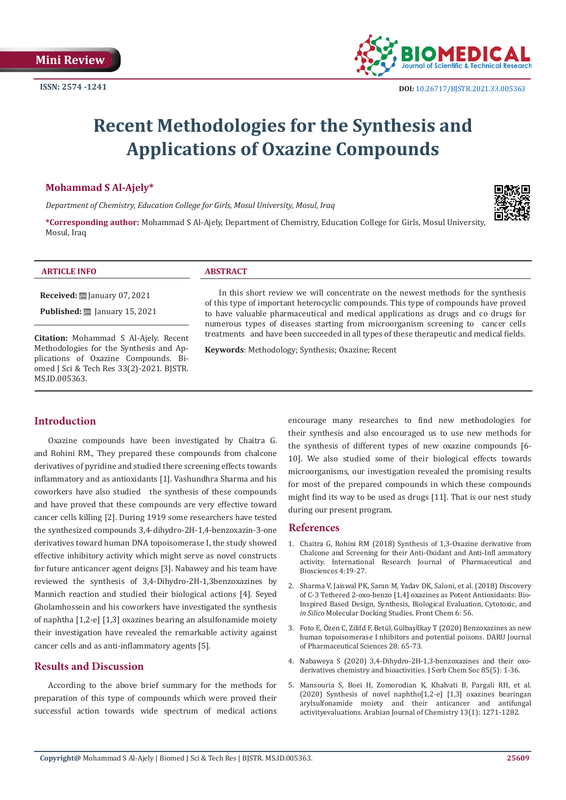

# **Recent Methodologies for the Synthesis and Applications of Oxazine Compounds**

#### **Mohammad S Al-Ajely\***

*Department of Chemistry, Education College for Girls, Mosul University, Mosul, Iraq*

**\*Corresponding author:** Mohammad S Al-Ajely, Department of Chemistry, Education College for Girls, Mosul University, Mosul, Iraq



**Received:** January 07, 2021

**Published:** ■ January 15, 2021

**Citation:** Mohammad S Al-Ajely. Recent Methodologies for the Synthesis and Applications of Oxazine Compounds. Biomed J Sci & Tech Res 33(2)-2021. BJSTR. MS.ID.005363.

In this short review we will concentrate on the newest methods for the synthesis of this type of important heterocyclic compounds. This type of compounds have proved to have valuable pharmaceutical and medical applications as drugs and co drugs for numerous types of diseases starting from microorganism screening to cancer cells treatments and have been succeeded in all types of these therapeutic and medical fields.

**Keywords**: Methodology; Synthesis; Oxazine; Recent

### **Introduction**

Oxazine compounds have been investigated by Chaitra G. and Rohini RM., They prepared these compounds from chalcone derivatives of pyridine and studied there screening effects towards inflammatory and as antioxidants [1]. Vashundhra Sharma and his coworkers have also studied the synthesis of these compounds and have proved that these compounds are very effective toward cancer cells killing [2]. During 1919 some researchers have tested the synthesized compounds 3,4-dihydro-2H-1,4-benzoxazin-3-one derivatives toward human DNA topoisomerase I, the study showed effective inhibitory activity which might serve as novel constructs for future anticancer agent deigns [3]. Nabawey and his team have reviewed the synthesis of 3,4-Dihydro-2H-1,3benzoxazines by Mannich reaction and studied their biological actions [4]. Seyed Gholamhossein and his coworkers have investigated the synthesis of naphtha [1,2-e] [1,3] oxazines bearing an alsulfonamide moiety their investigation have revealed the remarkable activity against cancer cells and as anti-inflammatory agents [5].

#### **Results and Discussion**

According to the above brief summary for the methods for preparation of this type of compounds which were proved their successful action towards wide spectrum of medical actions encourage many researches to find new methodologies for their synthesis and also encouraged us to use new methods for the synthesis of different types of new oxazine compounds [6- 10]. We also studied some of their biological effects towards microorganisms, our investigation revealed the promising results for most of the prepared compounds in which these compounds might find its way to be used as drugs [11]. That is our nest study during our present program.

#### **References**

- 1. [Chaitra G, Rohini RM \(2018\) Synthesis of 1,3-Oxazine derivative from](https://irjpbs.com/volumes/vol4/issue6/IRJPBS-4602.pdf) [Chalcone and Screening for their Anti-Oxidant and Anti-Infl ammatory](https://irjpbs.com/volumes/vol4/issue6/IRJPBS-4602.pdf) [activity. International Research Journal of Pharmaceutical and](https://irjpbs.com/volumes/vol4/issue6/IRJPBS-4602.pdf) [Biosciences 4:19-27.](https://irjpbs.com/volumes/vol4/issue6/IRJPBS-4602.pdf)
- 2. [Sharma V, Jaiswal PK, Saran M, Yadav DK, Saloni, et al. \(2018\) Discovery](https://pubmed.ncbi.nlm.nih.gov/29629369/) [of C-3 Tethered 2-oxo-benzo \[1,4\] oxazines as Potent Antioxidants: Bio-](https://pubmed.ncbi.nlm.nih.gov/29629369/)[Inspired Based Design, Synthesis, Biological Evaluation, Cytotoxic, and](https://pubmed.ncbi.nlm.nih.gov/29629369/) *in Silico* [Molecular Docking Studies. Front Chem 6: 56.](https://pubmed.ncbi.nlm.nih.gov/29629369/)
- 3. Foto E, Özen C, Zilifd F, Betül, Gülbaşİ[lkay T \(2020\) Benzoxazines as new](https://link.springer.com/article/10.1007/s40199-019-00315-x) [human topoisomerase I nhibitors and potential poisons. DARU Journal](https://link.springer.com/article/10.1007/s40199-019-00315-x) [of Pharmaceutical Sciences 28: 65-73.](https://link.springer.com/article/10.1007/s40199-019-00315-x)
- 4. [Nabaweya S \(2020\) 3,4-Dihydro-2H-1,3-benzoxazines and their oxo](https://www.shd-pub.org.rs/index.php/JSCS/article/view/6911/0)[derivatives chemistry and bioactivities. J Serb Chem Soc 85\(5\): 1-36.](https://www.shd-pub.org.rs/index.php/JSCS/article/view/6911/0)
- 5. [Mansouria S, Boei H, Zomorodian K, Khalvati B, Pargali RH, et al.](https://www.sciencedirect.com/science/article/pii/S1878535217302034) [\(2020\) Synthesis of novel naphtho\[1,2-e\] \[1,3\] oxazines bearingan](https://www.sciencedirect.com/science/article/pii/S1878535217302034) [arylsulfonamide moiety and their anticancer and antifungal](https://www.sciencedirect.com/science/article/pii/S1878535217302034) [activityevaluations. Arabian Journal of Chemistry 13\(1\): 1271-1282.](https://www.sciencedirect.com/science/article/pii/S1878535217302034)